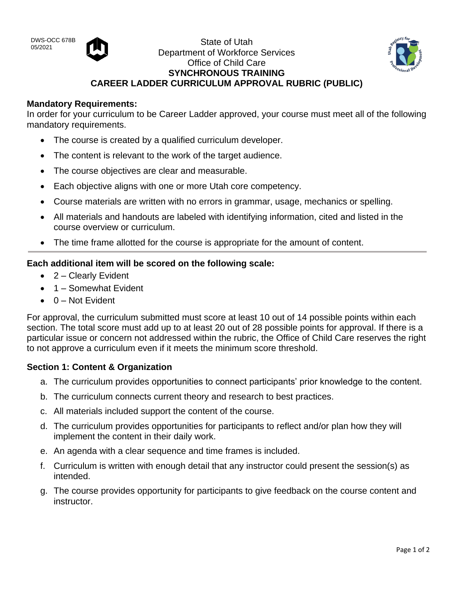DWS-OCC 678B



DWS-OCC 678B<br>05/2021 State of Utah Department of Workforce Services Office of Child Care **SYNCHRONOUS TRAINING CAREER LADDER CURRICULUM APPROVAL RUBRIC (PUBLIC)**



### **Mandatory Requirements:**

In order for your curriculum to be Career Ladder approved, your course must meet all of the following mandatory requirements.

- The course is created by a qualified curriculum developer.
- The content is relevant to the work of the target audience.
- The course objectives are clear and measurable.
- Each objective aligns with one or more Utah core competency.
- Course materials are written with no errors in grammar, usage, mechanics or spelling.
- All materials and handouts are labeled with identifying information, cited and listed in the course overview or curriculum.
- The time frame allotted for the course is appropriate for the amount of content.

# **Each additional item will be scored on the following scale:**

- 2 Clearly Evident
- 1 Somewhat Evident
- $\bullet$  0 Not Evident

For approval, the curriculum submitted must score at least 10 out of 14 possible points within each section. The total score must add up to at least 20 out of 28 possible points for approval. If there is a particular issue or concern not addressed within the rubric, the Office of Child Care reserves the right to not approve a curriculum even if it meets the minimum score threshold.

# **Section 1: Content & Organization**

- a. The curriculum provides opportunities to connect participants' prior knowledge to the content.
- b. The curriculum connects current theory and research to best practices.
- c. All materials included support the content of the course.
- d. The curriculum provides opportunities for participants to reflect and/or plan how they will implement the content in their daily work.
- e. An agenda with a clear sequence and time frames is included.
- f. Curriculum is written with enough detail that any instructor could present the session(s) as intended.
- g. The course provides opportunity for participants to give feedback on the course content and instructor.